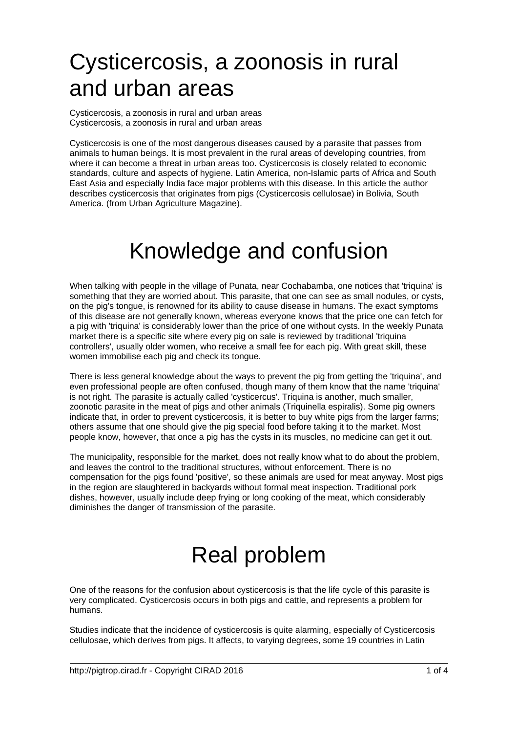## Cysticercosis, a zoonosis in rural and urban areas

Cysticercosis, a zoonosis in rural and urban areas Cysticercosis, a zoonosis in rural and urban areas

Cysticercosis is one of the most dangerous diseases caused by a parasite that passes from animals to human beings. It is most prevalent in the rural areas of developing countries, from where it can become a threat in urban areas too. Cysticercosis is closely related to economic standards, culture and aspects of hygiene. Latin America, non-Islamic parts of Africa and South East Asia and especially India face major problems with this disease. In this article the author describes cysticercosis that originates from pigs (Cysticercosis cellulosae) in Bolivia, South America. (from Urban Agriculture Magazine).

## Knowledge and confusion

When talking with people in the village of Punata, near Cochabamba, one notices that 'triquina' is something that they are worried about. This parasite, that one can see as small nodules, or cysts, on the pig's tongue, is renowned for its ability to cause disease in humans. The exact symptoms of this disease are not generally known, whereas everyone knows that the price one can fetch for a pig with 'triquina' is considerably lower than the price of one without cysts. In the weekly Punata market there is a specific site where every pig on sale is reviewed by traditional 'triquina controllers', usually older women, who receive a small fee for each pig. With great skill, these women immobilise each pig and check its tongue.

There is less general knowledge about the ways to prevent the pig from getting the 'triquina', and even professional people are often confused, though many of them know that the name 'triquina' is not right. The parasite is actually called 'cysticercus'. Triquina is another, much smaller, zoonotic parasite in the meat of pigs and other animals (Triquinella espiralis). Some pig owners indicate that, in order to prevent cysticercosis, it is better to buy white pigs from the larger farms; others assume that one should give the pig special food before taking it to the market. Most people know, however, that once a pig has the cysts in its muscles, no medicine can get it out.

The municipality, responsible for the market, does not really know what to do about the problem, and leaves the control to the traditional structures, without enforcement. There is no compensation for the pigs found 'positive', so these animals are used for meat anyway. Most pigs in the region are slaughtered in backyards without formal meat inspection. Traditional pork dishes, however, usually include deep frying or long cooking of the meat, which considerably diminishes the danger of transmission of the parasite.

# Real problem

One of the reasons for the confusion about cysticercosis is that the life cycle of this parasite is very complicated. Cysticercosis occurs in both pigs and cattle, and represents a problem for humans.

Studies indicate that the incidence of cysticercosis is quite alarming, especially of Cysticercosis cellulosae, which derives from pigs. It affects, to varying degrees, some 19 countries in Latin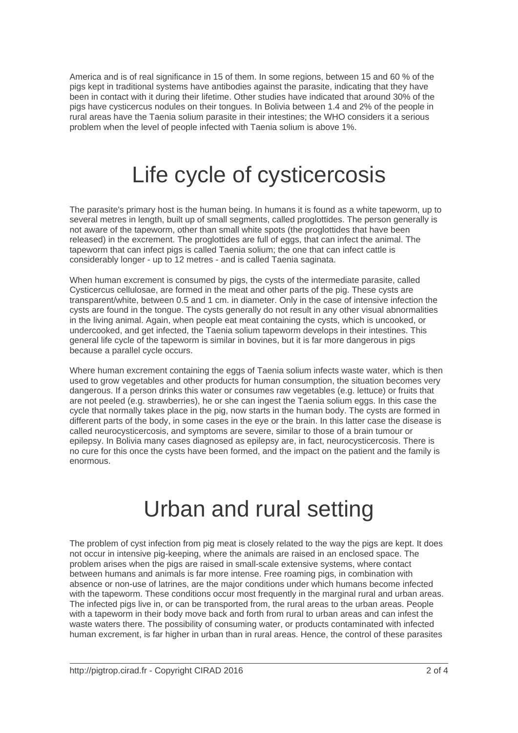America and is of real significance in 15 of them. In some regions, between 15 and 60 % of the pigs kept in traditional systems have antibodies against the parasite, indicating that they have been in contact with it during their lifetime. Other studies have indicated that around 30% of the pigs have cysticercus nodules on their tongues. In Bolivia between 1.4 and 2% of the people in rural areas have the Taenia solium parasite in their intestines; the WHO considers it a serious problem when the level of people infected with Taenia solium is above 1%.

### Life cycle of cysticercosis

The parasite's primary host is the human being. In humans it is found as a white tapeworm, up to several metres in length, built up of small segments, called proglottides. The person generally is not aware of the tapeworm, other than small white spots (the proglottides that have been released) in the excrement. The proglottides are full of eggs, that can infect the animal. The tapeworm that can infect pigs is called Taenia solium; the one that can infect cattle is considerably longer - up to 12 metres - and is called Taenia saginata.

When human excrement is consumed by pigs, the cysts of the intermediate parasite, called Cysticercus cellulosae, are formed in the meat and other parts of the pig. These cysts are transparent/white, between 0.5 and 1 cm. in diameter. Only in the case of intensive infection the cysts are found in the tongue. The cysts generally do not result in any other visual abnormalities in the living animal. Again, when people eat meat containing the cysts, which is uncooked, or undercooked, and get infected, the Taenia solium tapeworm develops in their intestines. This general life cycle of the tapeworm is similar in bovines, but it is far more dangerous in pigs because a parallel cycle occurs.

Where human excrement containing the eggs of Taenia solium infects waste water, which is then used to grow vegetables and other products for human consumption, the situation becomes very dangerous. If a person drinks this water or consumes raw vegetables (e.g. lettuce) or fruits that are not peeled (e.g. strawberries), he or she can ingest the Taenia solium eggs. In this case the cycle that normally takes place in the pig, now starts in the human body. The cysts are formed in different parts of the body, in some cases in the eye or the brain. In this latter case the disease is called neurocysticercosis, and symptoms are severe, similar to those of a brain tumour or epilepsy. In Bolivia many cases diagnosed as epilepsy are, in fact, neurocysticercosis. There is no cure for this once the cysts have been formed, and the impact on the patient and the family is enormous.

#### Urban and rural setting

The problem of cyst infection from pig meat is closely related to the way the pigs are kept. It does not occur in intensive pig-keeping, where the animals are raised in an enclosed space. The problem arises when the pigs are raised in small-scale extensive systems, where contact between humans and animals is far more intense. Free roaming pigs, in combination with absence or non-use of latrines, are the major conditions under which humans become infected with the tapeworm. These conditions occur most frequently in the marginal rural and urban areas. The infected pigs live in, or can be transported from, the rural areas to the urban areas. People with a tapeworm in their body move back and forth from rural to urban areas and can infest the waste waters there. The possibility of consuming water, or products contaminated with infected human excrement, is far higher in urban than in rural areas. Hence, the control of these parasites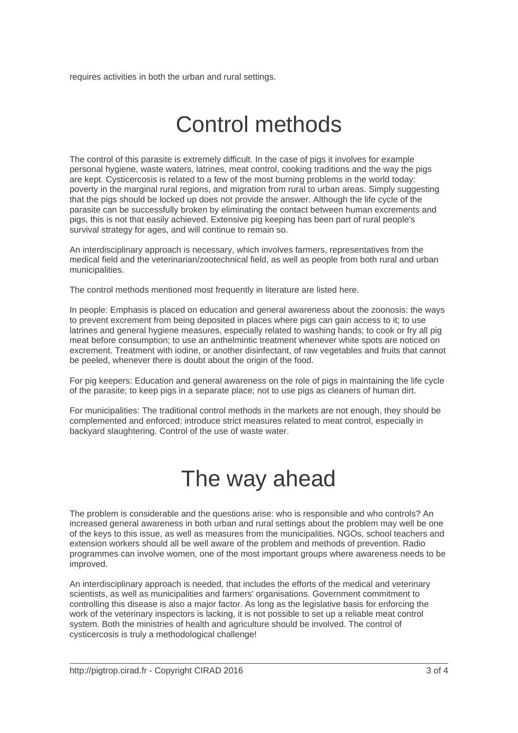requires activities in both the urban and rural settings.

## Control methods

The control of this parasite is extremely difficult. In the case of pigs it involves for example personal hygiene, waste waters, latrines, meat control, cooking traditions and the way the pigs are kept. Cysticercosis is related to a few of the most burning problems in the world today: poverty in the marginal rural regions, and migration from rural to urban areas. Simply suggesting that the pigs should be locked up does not provide the answer. Although the life cycle of the parasite can be successfully broken by eliminating the contact between human excrements and pigs, this is not that easily achieved. Extensive pig keeping has been part of rural people's survival strategy for ages, and will continue to remain so.

An interdisciplinary approach is necessary, which involves farmers, representatives from the medical field and the veterinarian/zootechnical field, as well as people from both rural and urban municipalities.

The control methods mentioned most frequently in literature are listed here.

In people: Emphasis is placed on education and general awareness about the zoonosis: the ways to prevent excrement from being deposited in places where pigs can gain access to it; to use latrines and general hygiene measures, especially related to washing hands; to cook or fry all pig meat before consumption; to use an anthelmintic treatment whenever white spots are noticed on excrement. Treatment with iodine, or another disinfectant, of raw vegetables and fruits that cannot be peeled, whenever there is doubt about the origin of the food.

For pig keepers: Education and general awareness on the role of pigs in maintaining the life cycle of the parasite; to keep pigs in a separate place; not to use pigs as cleaners of human dirt.

For municipalities: The traditional control methods in the markets are not enough, they should be complemented and enforced; introduce strict measures related to meat control, especially in backyard slaughtering. Control of the use of waste water.

### The way ahead

The problem is considerable and the questions arise: who is responsible and who controls? An increased general awareness in both urban and rural settings about the problem may well be one of the keys to this issue, as well as measures from the municipalities. NGOs, school teachers and extension workers should all be well aware of the problem and methods of prevention. Radio programmes can involve women, one of the most important groups where awareness needs to be improved.

An interdisciplinary approach is needed, that includes the efforts of the medical and veterinary scientists, as well as municipalities and farmers' organisations. Government commitment to controlling this disease is also a major factor. As long as the legislative basis for enforcing the work of the veterinary inspectors is lacking, it is not possible to set up a reliable meat control system. Both the ministries of health and agriculture should be involved. The control of cysticercosis is truly a methodological challenge!